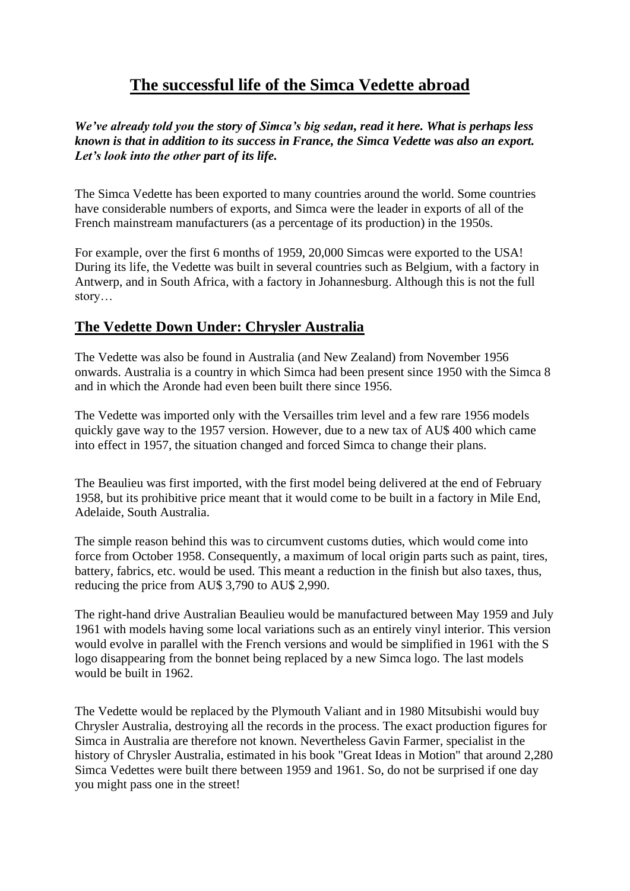## **The successful life of the Simca Vedette abroad**

*We've already told you the story of Simca's big sedan, read it here. What is perhaps less known is that in addition to its success in France, the Simca Vedette was also an export. Let's look into the other part of its life.*

The Simca Vedette has been exported to many countries around the world. Some countries have considerable numbers of exports, and Simca were the leader in exports of all of the French mainstream manufacturers (as a percentage of its production) in the 1950s.

For example, over the first 6 months of 1959, 20,000 Simcas were exported to the USA! During its life, the Vedette was built in several countries such as Belgium, with a factory in Antwerp, and in South Africa, with a factory in Johannesburg. Although this is not the full story…

## **The Vedette Down Under: Chrysler Australia**

The Vedette was also be found in Australia (and New Zealand) from November 1956 onwards. Australia is a country in which Simca had been present since 1950 with the Simca 8 and in which the Aronde had even been built there since 1956.

The Vedette was imported only with the Versailles trim level and a few rare 1956 models quickly gave way to the 1957 version. However, due to a new tax of AU\$ 400 which came into effect in 1957, the situation changed and forced Simca to change their plans.

The Beaulieu was first imported, with the first model being delivered at the end of February 1958, but its prohibitive price meant that it would come to be built in a factory in Mile End, Adelaide, South Australia.

The simple reason behind this was to circumvent customs duties, which would come into force from October 1958. Consequently, a maximum of local origin parts such as paint, tires, battery, fabrics, etc. would be used. This meant a reduction in the finish but also taxes, thus, reducing the price from AU\$ 3,790 to AU\$ 2,990.

The right-hand drive Australian Beaulieu would be manufactured between May 1959 and July 1961 with models having some local variations such as an entirely vinyl interior. This version would evolve in parallel with the French versions and would be simplified in 1961 with the S logo disappearing from the bonnet being replaced by a new Simca logo. The last models would be built in 1962.

The Vedette would be replaced by the Plymouth Valiant and in 1980 Mitsubishi would buy Chrysler Australia, destroying all the records in the process. The exact production figures for Simca in Australia are therefore not known. Nevertheless Gavin Farmer, specialist in the history of Chrysler Australia, estimated in his book "Great Ideas in Motion" that around 2,280 Simca Vedettes were built there between 1959 and 1961. So, do not be surprised if one day you might pass one in the street!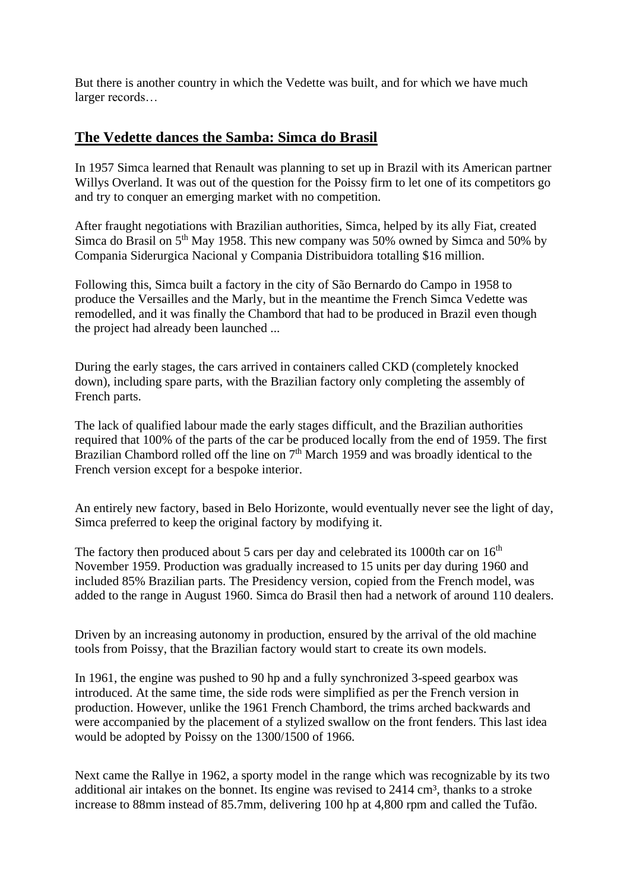But there is another country in which the Vedette was built, and for which we have much larger records…

## **The Vedette dances the Samba: Simca do Brasil**

In 1957 Simca learned that Renault was planning to set up in Brazil with its American partner Willys Overland. It was out of the question for the Poissy firm to let one of its competitors go and try to conquer an emerging market with no competition.

After fraught negotiations with Brazilian authorities, Simca, helped by its ally Fiat, created Simca do Brasil on  $5<sup>th</sup>$  May 1958. This new company was 50% owned by Simca and 50% by Compania Siderurgica Nacional y Compania Distribuidora totalling \$16 million.

Following this, Simca built a factory in the city of São Bernardo do Campo in 1958 to produce the Versailles and the Marly, but in the meantime the French Simca Vedette was remodelled, and it was finally the Chambord that had to be produced in Brazil even though the project had already been launched ...

During the early stages, the cars arrived in containers called CKD (completely knocked down), including spare parts, with the Brazilian factory only completing the assembly of French parts.

The lack of qualified labour made the early stages difficult, and the Brazilian authorities required that 100% of the parts of the car be produced locally from the end of 1959. The first Brazilian Chambord rolled off the line on 7<sup>th</sup> March 1959 and was broadly identical to the French version except for a bespoke interior.

An entirely new factory, based in Belo Horizonte, would eventually never see the light of day, Simca preferred to keep the original factory by modifying it.

The factory then produced about 5 cars per day and celebrated its 1000th car on  $16<sup>th</sup>$ November 1959. Production was gradually increased to 15 units per day during 1960 and included 85% Brazilian parts. The Presidency version, copied from the French model, was added to the range in August 1960. Simca do Brasil then had a network of around 110 dealers.

Driven by an increasing autonomy in production, ensured by the arrival of the old machine tools from Poissy, that the Brazilian factory would start to create its own models.

In 1961, the engine was pushed to 90 hp and a fully synchronized 3-speed gearbox was introduced. At the same time, the side rods were simplified as per the French version in production. However, unlike the 1961 French Chambord, the trims arched backwards and were accompanied by the placement of a stylized swallow on the front fenders. This last idea would be adopted by Poissy on the 1300/1500 of 1966.

Next came the Rallye in 1962, a sporty model in the range which was recognizable by its two additional air intakes on the bonnet. Its engine was revised to  $2414 \text{ cm}^3$ , thanks to a stroke increase to 88mm instead of 85.7mm, delivering 100 hp at 4,800 rpm and called the Tufão.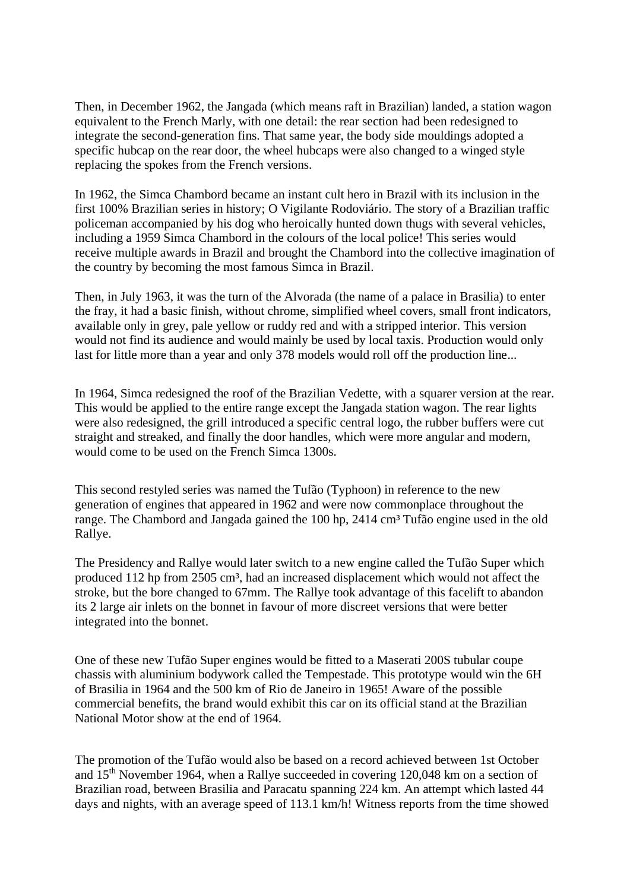Then, in December 1962, the Jangada (which means raft in Brazilian) landed, a station wagon equivalent to the French Marly, with one detail: the rear section had been redesigned to integrate the second-generation fins. That same year, the body side mouldings adopted a specific hubcap on the rear door, the wheel hubcaps were also changed to a winged style replacing the spokes from the French versions.

In 1962, the Simca Chambord became an instant cult hero in Brazil with its inclusion in the first 100% Brazilian series in history; O Vigilante Rodoviário. The story of a Brazilian traffic policeman accompanied by his dog who heroically hunted down thugs with several vehicles, including a 1959 Simca Chambord in the colours of the local police! This series would receive multiple awards in Brazil and brought the Chambord into the collective imagination of the country by becoming the most famous Simca in Brazil.

Then, in July 1963, it was the turn of the Alvorada (the name of a palace in Brasilia) to enter the fray, it had a basic finish, without chrome, simplified wheel covers, small front indicators, available only in grey, pale yellow or ruddy red and with a stripped interior. This version would not find its audience and would mainly be used by local taxis. Production would only last for little more than a year and only 378 models would roll off the production line...

In 1964, Simca redesigned the roof of the Brazilian Vedette, with a squarer version at the rear. This would be applied to the entire range except the Jangada station wagon. The rear lights were also redesigned, the grill introduced a specific central logo, the rubber buffers were cut straight and streaked, and finally the door handles, which were more angular and modern, would come to be used on the French Simca 1300s.

This second restyled series was named the Tufão (Typhoon) in reference to the new generation of engines that appeared in 1962 and were now commonplace throughout the range. The Chambord and Jangada gained the 100 hp, 2414 cm<sup>3</sup> Tufão engine used in the old Rallye.

The Presidency and Rallye would later switch to a new engine called the Tufão Super which produced 112 hp from 2505 cm³, had an increased displacement which would not affect the stroke, but the bore changed to 67mm. The Rallye took advantage of this facelift to abandon its 2 large air inlets on the bonnet in favour of more discreet versions that were better integrated into the bonnet.

One of these new Tufão Super engines would be fitted to a Maserati 200S tubular coupe chassis with aluminium bodywork called the Tempestade. This prototype would win the 6H of Brasilia in 1964 and the 500 km of Rio de Janeiro in 1965! Aware of the possible commercial benefits, the brand would exhibit this car on its official stand at the Brazilian National Motor show at the end of 1964.

The promotion of the Tufão would also be based on a record achieved between 1st October and 15th November 1964, when a Rallye succeeded in covering 120,048 km on a section of Brazilian road, between Brasilia and Paracatu spanning 224 km. An attempt which lasted 44 days and nights, with an average speed of 113.1 km/h! Witness reports from the time showed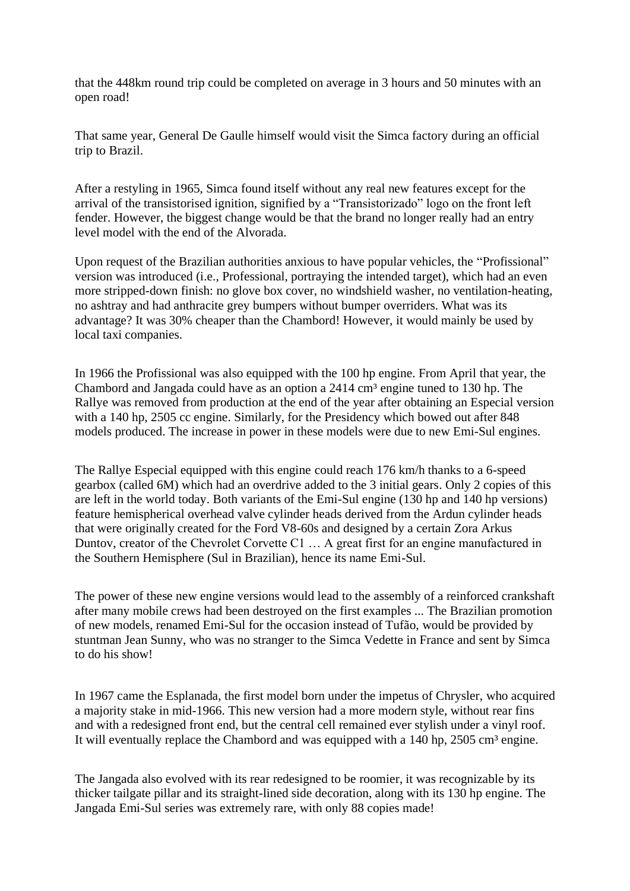that the 448km round trip could be completed on average in 3 hours and 50 minutes with an open road!

That same year, General De Gaulle himself would visit the Simca factory during an official trip to Brazil.

After a restyling in 1965, Simca found itself without any real new features except for the arrival of the transistorised ignition, signified by a "Transistorizado" logo on the front left fender. However, the biggest change would be that the brand no longer really had an entry level model with the end of the Alvorada.

Upon request of the Brazilian authorities anxious to have popular vehicles, the "Profissional" version was introduced (i.e., Professional, portraying the intended target), which had an even more stripped-down finish: no glove box cover, no windshield washer, no ventilation-heating, no ashtray and had anthracite grey bumpers without bumper overriders. What was its advantage? It was 30% cheaper than the Chambord! However, it would mainly be used by local taxi companies.

In 1966 the Profissional was also equipped with the 100 hp engine. From April that year, the Chambord and Jangada could have as an option a  $2414 \text{ cm}^3$  engine tuned to 130 hp. The Rallye was removed from production at the end of the year after obtaining an Especial version with a 140 hp, 2505 cc engine. Similarly, for the Presidency which bowed out after 848 models produced. The increase in power in these models were due to new Emi-Sul engines.

The Rallye Especial equipped with this engine could reach 176 km/h thanks to a 6-speed gearbox (called 6M) which had an overdrive added to the 3 initial gears. Only 2 copies of this are left in the world today. Both variants of the Emi-Sul engine (130 hp and 140 hp versions) feature hemispherical overhead valve cylinder heads derived from the Ardun cylinder heads that were originally created for the Ford V8-60s and designed by a certain Zora Arkus Duntov, creator of the Chevrolet Corvette C1 … A great first for an engine manufactured in the Southern Hemisphere (Sul in Brazilian), hence its name Emi-Sul.

The power of these new engine versions would lead to the assembly of a reinforced crankshaft after many mobile crews had been destroyed on the first examples ... The Brazilian promotion of new models, renamed Emi-Sul for the occasion instead of Tufão, would be provided by stuntman Jean Sunny, who was no stranger to the Simca Vedette in France and sent by Simca to do his show!

In 1967 came the Esplanada, the first model born under the impetus of Chrysler, who acquired a majority stake in mid-1966. This new version had a more modern style, without rear fins and with a redesigned front end, but the central cell remained ever stylish under a vinyl roof. It will eventually replace the Chambord and was equipped with a 140 hp, 2505 cm<sup>3</sup> engine.

The Jangada also evolved with its rear redesigned to be roomier, it was recognizable by its thicker tailgate pillar and its straight-lined side decoration, along with its 130 hp engine. The Jangada Emi-Sul series was extremely rare, with only 88 copies made!